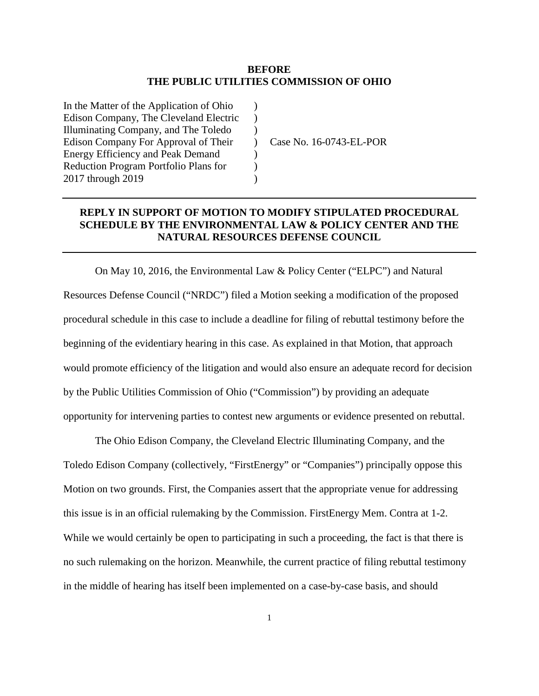## **BEFORE THE PUBLIC UTILITIES COMMISSION OF OHIO**

 $\mathcal{L}$  $\lambda$ )  $\mathcal{L}$  $\lambda$  $\mathcal{L}$  $\lambda$ 

In the Matter of the Application of Ohio Edison Company, The Cleveland Electric Illuminating Company, and The Toledo Edison Company For Approval of Their Energy Efficiency and Peak Demand Reduction Program Portfolio Plans for 2017 through 2019

Case No. 16-0743-EL-POR

## **REPLY IN SUPPORT OF MOTION TO MODIFY STIPULATED PROCEDURAL SCHEDULE BY THE ENVIRONMENTAL LAW & POLICY CENTER AND THE NATURAL RESOURCES DEFENSE COUNCIL**

On May 10, 2016, the Environmental Law & Policy Center ("ELPC") and Natural Resources Defense Council ("NRDC") filed a Motion seeking a modification of the proposed procedural schedule in this case to include a deadline for filing of rebuttal testimony before the beginning of the evidentiary hearing in this case. As explained in that Motion, that approach would promote efficiency of the litigation and would also ensure an adequate record for decision by the Public Utilities Commission of Ohio ("Commission") by providing an adequate opportunity for intervening parties to contest new arguments or evidence presented on rebuttal.

The Ohio Edison Company, the Cleveland Electric Illuminating Company, and the Toledo Edison Company (collectively, "FirstEnergy" or "Companies") principally oppose this Motion on two grounds. First, the Companies assert that the appropriate venue for addressing this issue is in an official rulemaking by the Commission. FirstEnergy Mem. Contra at 1-2. While we would certainly be open to participating in such a proceeding, the fact is that there is no such rulemaking on the horizon. Meanwhile, the current practice of filing rebuttal testimony in the middle of hearing has itself been implemented on a case-by-case basis, and should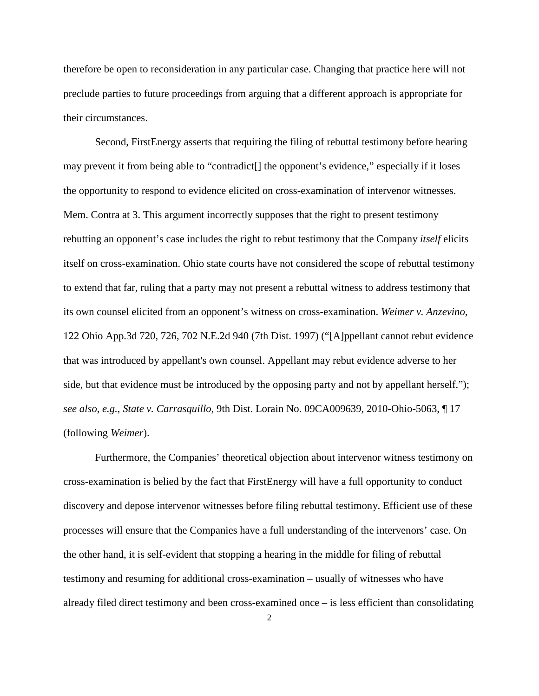therefore be open to reconsideration in any particular case. Changing that practice here will not preclude parties to future proceedings from arguing that a different approach is appropriate for their circumstances.

Second, FirstEnergy asserts that requiring the filing of rebuttal testimony before hearing may prevent it from being able to "contradict[] the opponent's evidence," especially if it loses the opportunity to respond to evidence elicited on cross-examination of intervenor witnesses. Mem. Contra at 3. This argument incorrectly supposes that the right to present testimony rebutting an opponent's case includes the right to rebut testimony that the Company *itself* elicits itself on cross-examination. Ohio state courts have not considered the scope of rebuttal testimony to extend that far, ruling that a party may not present a rebuttal witness to address testimony that its own counsel elicited from an opponent's witness on cross-examination. *Weimer v. Anzevino*, 122 Ohio App.3d 720, 726, 702 N.E.2d 940 (7th Dist. 1997) ("[A]ppellant cannot rebut evidence that was introduced by appellant's own counsel. Appellant may rebut evidence adverse to her side, but that evidence must be introduced by the opposing party and not by appellant herself."); *see also, e.g.*, *State v. Carrasquillo*, 9th Dist. Lorain No. 09CA009639, 2010-Ohio-5063, ¶ 17 (following *Weimer*).

Furthermore, the Companies' theoretical objection about intervenor witness testimony on cross-examination is belied by the fact that FirstEnergy will have a full opportunity to conduct discovery and depose intervenor witnesses before filing rebuttal testimony. Efficient use of these processes will ensure that the Companies have a full understanding of the intervenors' case. On the other hand, it is self-evident that stopping a hearing in the middle for filing of rebuttal testimony and resuming for additional cross-examination – usually of witnesses who have already filed direct testimony and been cross-examined once – is less efficient than consolidating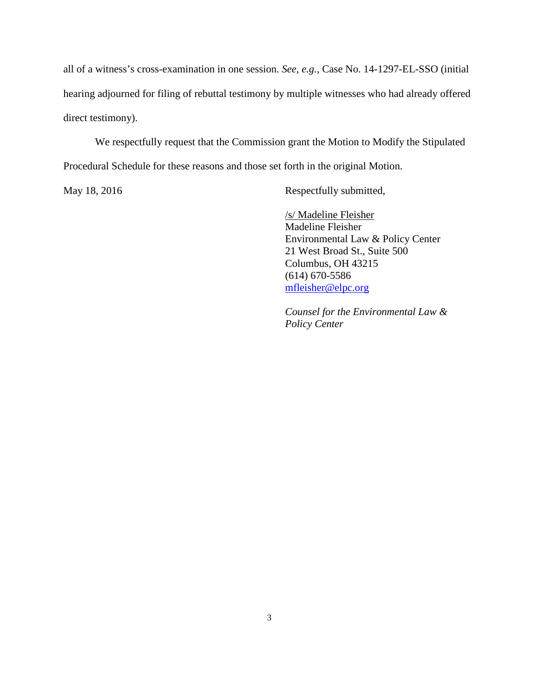all of a witness's cross-examination in one session. *See, e.g.*, Case No. 14-1297-EL-SSO (initial hearing adjourned for filing of rebuttal testimony by multiple witnesses who had already offered direct testimony).

We respectfully request that the Commission grant the Motion to Modify the Stipulated Procedural Schedule for these reasons and those set forth in the original Motion.

May 18, 2016 Respectfully submitted,

/s/ Madeline Fleisher Madeline Fleisher Environmental Law & Policy Center 21 West Broad St., Suite 500 Columbus, OH 43215 (614) 670-5586 [mfleisher@elpc.org](mailto:mfleisher@elpc.org)

*Counsel for the Environmental Law & Policy Center*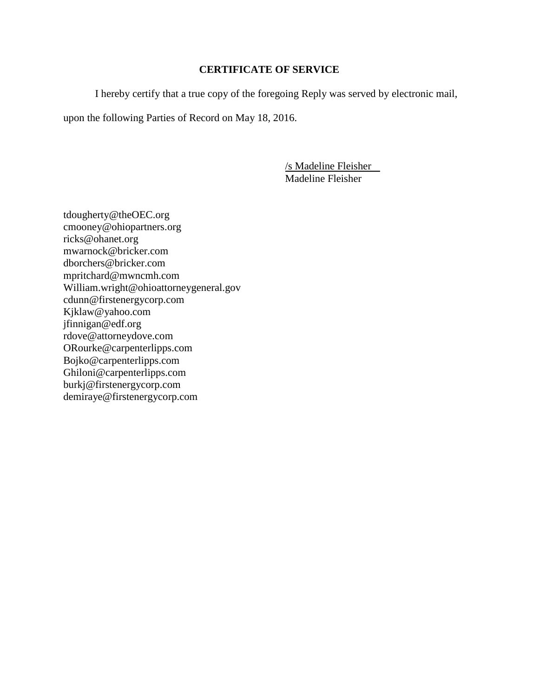## **CERTIFICATE OF SERVICE**

I hereby certify that a true copy of the foregoing Reply was served by electronic mail,

upon the following Parties of Record on May 18, 2016.

/s Madeline Fleisher Madeline Fleisher

tdougherty@theOEC.org cmooney@ohiopartners.org ricks@ohanet.org mwarnock@bricker.com dborchers@bricker.com mpritchard@mwncmh.com William.wright@ohioattorneygeneral.gov cdunn@firstenergycorp.com Kjklaw@yahoo.com jfinnigan@edf.org rdove@attorneydove.com ORourke@carpenterlipps.com Bojko@carpenterlipps.com Ghiloni@carpenterlipps.com burkj@firstenergycorp.com demiraye@firstenergycorp.com